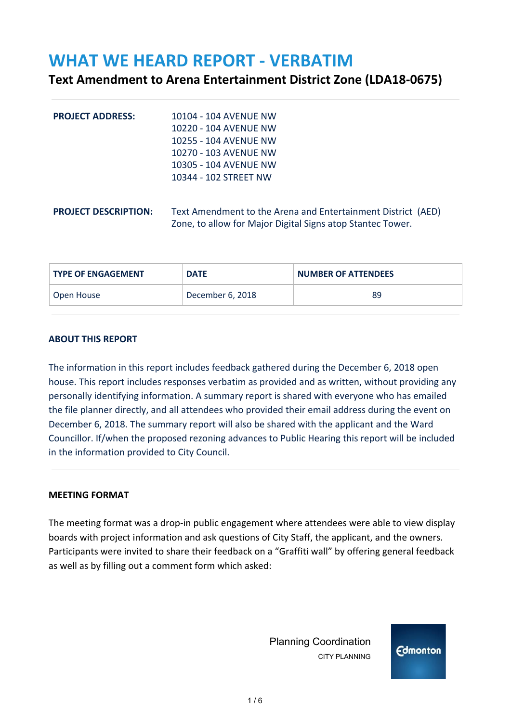# **WHAT WE HEARD REPORT - VERBATIM**

## **Text Amendment to Arena Entertainment District Zone (LDA18-0675)**

| <b>PROJECT ADDRESS:</b>     | 10104 - 104 AVENUE NW<br>10220 - 104 AVENUE NW<br>10255 - 104 AVENUE NW<br>10270 - 103 AVENUE NW<br>10305 - 104 AVENUE NW<br>10344 - 102 STREET NW |
|-----------------------------|----------------------------------------------------------------------------------------------------------------------------------------------------|
| <b>PROJECT DESCRIPTION:</b> | Text Amendment to the Arena and Entertainment District (AED)<br>Zone, to allow for Major Digital Signs atop Stantec Tower.                         |

| <b>TYPE OF ENGAGEMENT</b> | <b>DATE</b>      | <b>NUMBER OF ATTENDEES</b> |
|---------------------------|------------------|----------------------------|
| Open House                | December 6, 2018 | 89                         |

#### **ABOUT THIS REPORT**

The information in this report includes feedback gathered during the December 6, 2018 open house. This report includes responses verbatim as provided and as written, without providing any personally identifying information. A summary report is shared with everyone who has emailed the file planner directly, and all attendees who provided their email address during the event on December 6, 2018. The summary report will also be shared with the applicant and the Ward Councillor. If/when the proposed rezoning advances to Public Hearing this report will be included in the information provided to City Council.

#### **MEETING FORMAT**

The meeting format was a drop-in public engagement where attendees were able to view display boards with project information and ask questions of City Staff, the applicant, and the owners. Participants were invited to share their feedback on a "Graffiti wall" by offering general feedback as well as by filling out a comment form which asked:

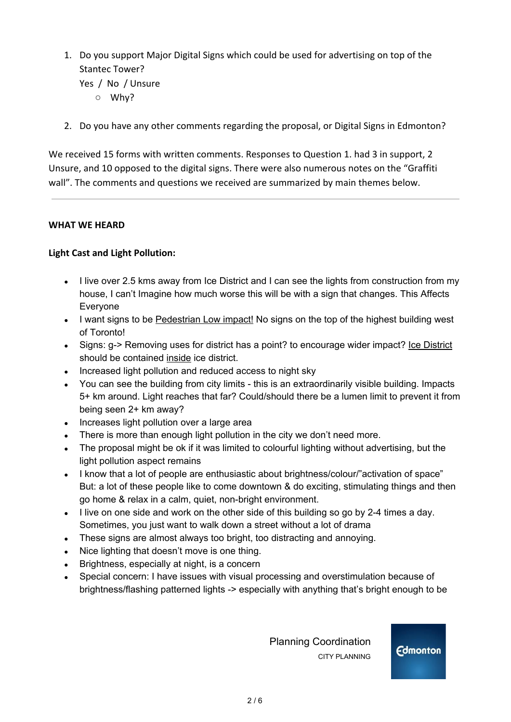- 1. Do you support Major Digital Signs which could be used for advertising on top of the Stantec Tower? Yes / No / Unsure
	- Why?
- 2. Do you have any other comments regarding the proposal, or Digital Signs in Edmonton?

We received 15 forms with written comments. Responses to Question 1. had 3 in support, 2 Unsure, and 10 opposed to the digital signs. There were also numerous notes on the "Graffiti wall". The comments and questions we received are summarized by main themes below.

#### **WHAT WE HEARD**

#### **Light Cast and Light Pollution:**

- I live over 2.5 kms away from Ice District and I can see the lights from construction from my house, I can't Imagine how much worse this will be with a sign that changes. This Affects Everyone
- I want signs to be Pedestrian Low impact! No signs on the top of the highest building west of Toronto!
- Signs: g-> Removing uses for district has a point? to encourage wider impact? Lee District should be contained inside ice district.
- Increased light pollution and reduced access to night sky
- You can see the building from city limits this is an extraordinarily visible building. Impacts 5+ km around. Light reaches that far? Could/should there be a lumen limit to prevent it from being seen 2+ km away?
- Increases light pollution over a large area
- There is more than enough light pollution in the city we don't need more.
- The proposal might be ok if it was limited to colourful lighting without advertising, but the light pollution aspect remains
- I know that a lot of people are enthusiastic about brightness/colour/"activation of space" But: a lot of these people like to come downtown & do exciting, stimulating things and then go home & relax in a calm, quiet, non-bright environment.
- I live on one side and work on the other side of this building so go by 2-4 times a day. Sometimes, you just want to walk down a street without a lot of drama
- These signs are almost always too bright, too distracting and annoying.
- Nice lighting that doesn't move is one thing.
- Brightness, especially at night, is a concern
- Special concern: I have issues with visual processing and overstimulation because of brightness/flashing patterned lights -> especially with anything that's bright enough to be

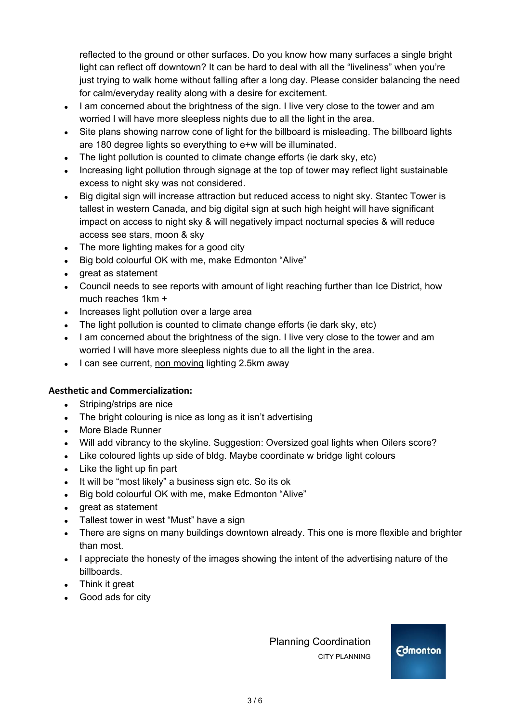reflected to the ground or other surfaces. Do you know how many surfaces a single bright light can reflect off downtown? It can be hard to deal with all the "liveliness" when you're just trying to walk home without falling after a long day. Please consider balancing the need for calm/everyday reality along with a desire for excitement.

- I am concerned about the brightness of the sign. I live very close to the tower and am worried I will have more sleepless nights due to all the light in the area.
- Site plans showing narrow cone of light for the billboard is misleading. The billboard lights are 180 degree lights so everything to e+w will be illuminated.
- The light pollution is counted to climate change efforts (ie dark sky, etc)
- Increasing light pollution through signage at the top of tower may reflect light sustainable excess to night sky was not considered.
- Big digital sign will increase attraction but reduced access to night sky. Stantec Tower is tallest in western Canada, and big digital sign at such high height will have significant impact on access to night sky & will negatively impact nocturnal species & will reduce access see stars, moon & sky
- $\bullet$  The more lighting makes for a good city
- Big bold colourful OK with me, make Edmonton "Alive"
- great as statement
- Council needs to see reports with amount of light reaching further than Ice District, how much reaches 1km +
- Increases light pollution over a large area
- The light pollution is counted to climate change efforts (ie dark sky, etc)
- I am concerned about the brightness of the sign. I live very close to the tower and am worried I will have more sleepless nights due to all the light in the area.
- I can see current, non moving lighting 2.5km away

#### **Aesthetic and Commercialization:**

- Striping/strips are nice
- The bright colouring is nice as long as it isn't advertising
- More Blade Runner
- Will add vibrancy to the skyline. Suggestion: Oversized goal lights when Oilers score?
- Like coloured lights up side of bldg. Maybe coordinate w bridge light colours
- $\bullet$  Like the light up fin part
- It will be "most likely" a business sign etc. So its ok
- Big bold colourful OK with me, make Edmonton "Alive"
- great as statement
- Tallest tower in west "Must" have a sign
- **●** There are signs on many buildings downtown already. This one is more flexible and brighter than most.
- **●** I appreciate the honesty of the images showing the intent of the advertising nature of the billboards.
- **●** Think it great
- **●** Good ads for city

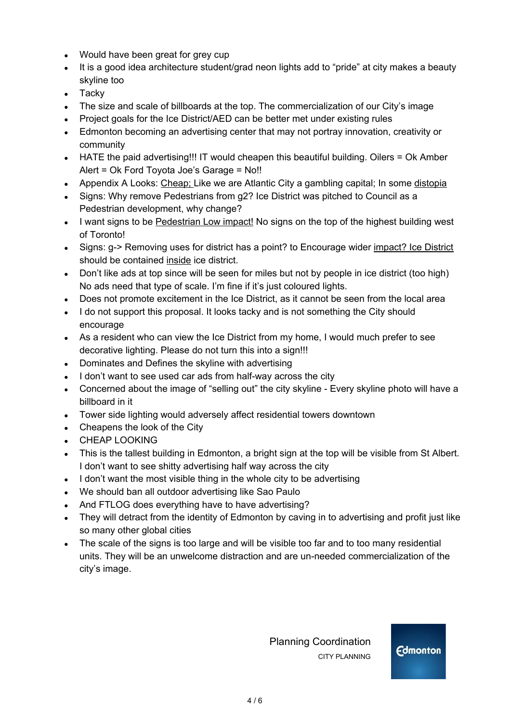- **●** Would have been great for grey cup
- It is a good idea architecture student/grad neon lights add to "pride" at city makes a beauty skyline too
- Tacky
- The size and scale of billboards at the top. The commercialization of our City's image
- Project goals for the Ice District/AED can be better met under existing rules
- Edmonton becoming an advertising center that may not portray innovation, creativity or community
- HATE the paid advertising!!! IT would cheapen this beautiful building. Oilers = Ok Amber Alert = Ok Ford Toyota Joe's Garage = No!!
- Appendix A Looks: Cheap; Like we are Atlantic City a gambling capital; In some distopia
- Signs: Why remove Pedestrians from g2? Ice District was pitched to Council as a Pedestrian development, why change?
- I want signs to be Pedestrian Low impact! No signs on the top of the highest building west of Toronto!
- Signs: g-> Removing uses for district has a point? to Encourage wider impact? Ice District should be contained inside ice district.
- Don't like ads at top since will be seen for miles but not by people in ice district (too high) No ads need that type of scale. I'm fine if it's just coloured lights.
- Does not promote excitement in the Ice District, as it cannot be seen from the local area
- I do not support this proposal. It looks tacky and is not something the City should encourage
- As a resident who can view the Ice District from my home, I would much prefer to see decorative lighting. Please do not turn this into a sign!!!
- Dominates and Defines the skyline with advertising
- I don't want to see used car ads from half-way across the city
- Concerned about the image of "selling out" the city skyline Every skyline photo will have a billboard in it
- Tower side lighting would adversely affect residential towers downtown
- Cheapens the look of the City
- CHEAP LOOKING
- This is the tallest building in Edmonton, a bright sign at the top will be visible from St Albert. I don't want to see shitty advertising half way across the city
- I don't want the most visible thing in the whole city to be advertising
- We should ban all outdoor advertising like Sao Paulo
- And FTLOG does everything have to have advertising?
- They will detract from the identity of Edmonton by caving in to advertising and profit just like so many other global cities
- The scale of the signs is too large and will be visible too far and to too many residential units. They will be an unwelcome distraction and are un-needed commercialization of the city's image.

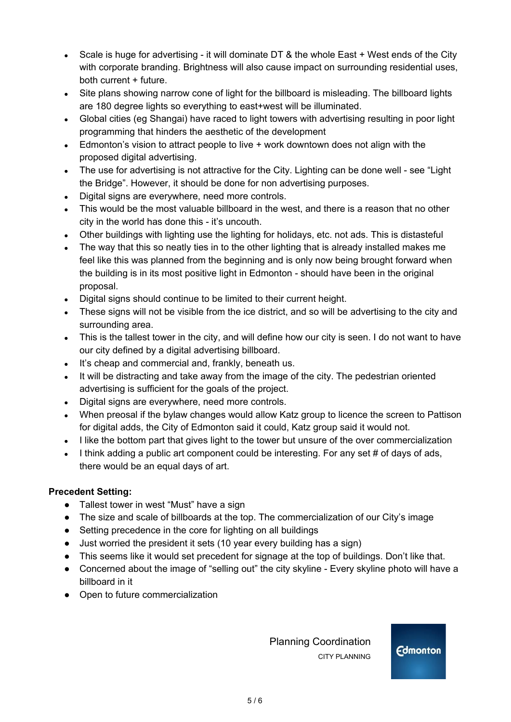- Scale is huge for advertising it will dominate DT & the whole East + West ends of the City with corporate branding. Brightness will also cause impact on surrounding residential uses, both current + future.
- Site plans showing narrow cone of light for the billboard is misleading. The billboard lights are 180 degree lights so everything to east+west will be illuminated.
- Global cities (eg Shangai) have raced to light towers with advertising resulting in poor light programming that hinders the aesthetic of the development
- $\bullet$  Edmonton's vision to attract people to live  $+$  work downtown does not align with the proposed digital advertising.
- **●** The use for advertising is not attractive for the City. Lighting can be done well see "Light the Bridge". However, it should be done for non advertising purposes.
- Digital signs are everywhere, need more controls.
- This would be the most valuable billboard in the west, and there is a reason that no other city in the world has done this - it's uncouth.
- Other buildings with lighting use the lighting for holidays, etc. not ads. This is distasteful
- The way that this so neatly ties in to the other lighting that is already installed makes me feel like this was planned from the beginning and is only now being brought forward when the building is in its most positive light in Edmonton - should have been in the original proposal.
- Digital signs should continue to be limited to their current height.
- These signs will not be visible from the ice district, and so will be advertising to the city and surrounding area.
- This is the tallest tower in the city, and will define how our city is seen. I do not want to have our city defined by a digital advertising billboard.
- It's cheap and commercial and, frankly, beneath us.
- It will be distracting and take away from the image of the city. The pedestrian oriented advertising is sufficient for the goals of the project.
- Digital signs are everywhere, need more controls.
- When preosal if the bylaw changes would allow Katz group to licence the screen to Pattison for digital adds, the City of Edmonton said it could, Katz group said it would not.
- I like the bottom part that gives light to the tower but unsure of the over commercialization
- I think adding a public art component could be interesting. For any set # of days of ads, there would be an equal days of art.

### **Precedent Setting:**

- **●** Tallest tower in west "Must" have a sign
- The size and scale of billboards at the top. The commercialization of our City's image
- Setting precedence in the core for lighting on all buildings
- **●** Just worried the president it sets (10 year every building has a sign)
- This seems like it would set precedent for signage at the top of buildings. Don't like that.
- Concerned about the image of "selling out" the city skyline Every skyline photo will have a billboard in it
- Open to future commercialization